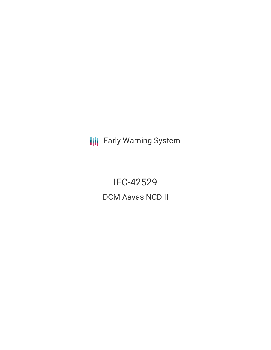**III** Early Warning System

IFC-42529 DCM Aavas NCD II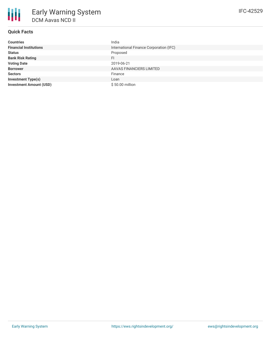# **Quick Facts**

| <b>Countries</b>               | India                                   |
|--------------------------------|-----------------------------------------|
| <b>Financial Institutions</b>  | International Finance Corporation (IFC) |
| <b>Status</b>                  | Proposed                                |
| <b>Bank Risk Rating</b>        | FI.                                     |
| <b>Voting Date</b>             | 2019-06-21                              |
| <b>Borrower</b>                | AAVAS FINANCIERS LIMITED                |
| <b>Sectors</b>                 | Finance                                 |
| <b>Investment Type(s)</b>      | Loan                                    |
| <b>Investment Amount (USD)</b> | \$50.00 million                         |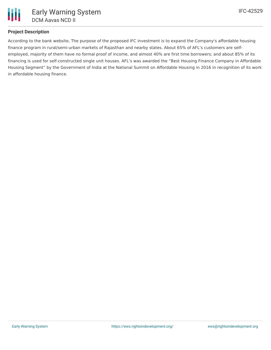## **Project Description**

Ш

According to the bank website, The purpose of the proposed IFC investment is to expand the Company's affordable housing finance program in rural/semi-urban markets of Rajasthan and nearby states. About 65% of AFL's customers are selfemployed, majority of them have no formal proof of income, and almost 40% are first time borrowers; and about 85% of its financing is used for self-constructed single unit houses. AFL's was awarded the "Best Housing Finance Company in Affordable Housing Segment" by the Government of India at the National Summit on Affordable Housing in 2016 in recognition of its work in affordable housing finance.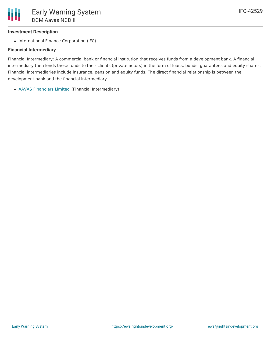### **Investment Description**

• International Finance Corporation (IFC)

### **Financial Intermediary**

Financial Intermediary: A commercial bank or financial institution that receives funds from a development bank. A financial intermediary then lends these funds to their clients (private actors) in the form of loans, bonds, guarantees and equity shares. Financial intermediaries include insurance, pension and equity funds. The direct financial relationship is between the development bank and the financial intermediary.

AAVAS [Financiers](file:///actor/1046/) Limited (Financial Intermediary)